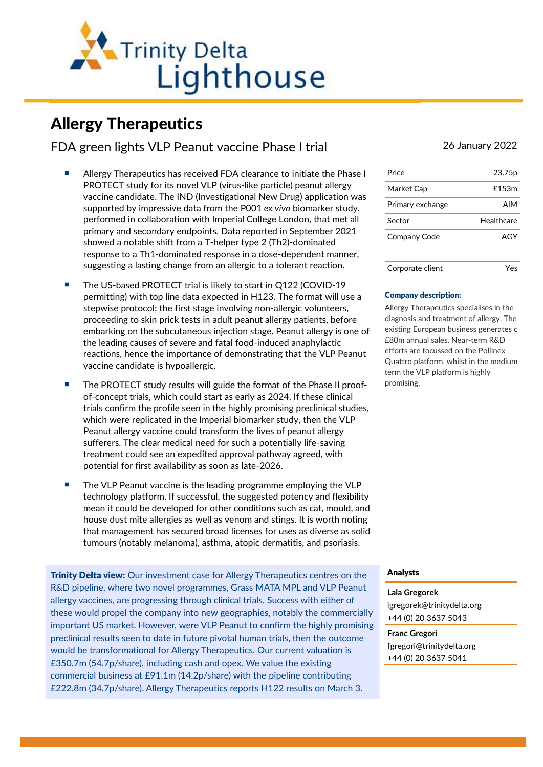

# Allergy Therapeutics

FDA green lights VLP Peanut vaccine Phase I trial 26 January 2022

- Allergy Therapeutics has received FDA clearance to initiate the Phase I PROTECT study for its novel VLP (virus-like particle) peanut allergy vaccine candidate. The IND (Investigational New Drug) application was supported by impressive data from the P001 *ex vivo* biomarker study, performed in collaboration with Imperial College London, that met all primary and secondary endpoints. Data reported in September 2021 showed a notable shift from a T-helper type 2 (Th2)-dominated response to a Th1-dominated response in a dose-dependent manner, suggesting a lasting change from an allergic to a tolerant reaction.
- The US-based PROTECT trial is likely to start in Q122 (COVID-19) permitting) with top line data expected in H123. The format will use a stepwise protocol; the first stage involving non-allergic volunteers, proceeding to skin prick tests in adult peanut allergy patients, before embarking on the subcutaneous injection stage. Peanut allergy is one of the leading causes of severe and fatal food-induced anaphylactic reactions, hence the importance of demonstrating that the VLP Peanut vaccine candidate is hypoallergic.
- The PROTECT study results will guide the format of the Phase II proofof-concept trials, which could start as early as 2024. If these clinical trials confirm the profile seen in the highly promising preclinical studies, which were replicated in the Imperial biomarker study, then the VLP Peanut allergy vaccine could transform the lives of peanut allergy sufferers. The clear medical need for such a potentially life-saving treatment could see an expedited approval pathway agreed, with potential for first availability as soon as late-2026.
- The VLP Peanut vaccine is the leading programme employing the VLP technology platform. If successful, the suggested potency and flexibility mean it could be developed for other conditions such as cat, mould, and house dust mite allergies as well as venom and stings. It is worth noting that management has secured broad licenses for uses as diverse as solid tumours (notably melanoma), asthma, atopic dermatitis, and psoriasis.

**Trinity Delta view:** Our investment case for Allergy Therapeutics centres on the R&D pipeline, where two novel programmes, Grass MATA MPL and VLP Peanut allergy vaccines, are progressing through clinical trials. Success with either of these would propel the company into new geographies, notably the commercially important US market. However, were VLP Peanut to confirm the highly promising preclinical results seen to date in future pivotal human trials, then the outcome would be transformational for Allergy Therapeutics. Our current valuation is £350.7m (54.7p/share), including cash and opex. We value the existing commercial business at £91.1m (14.2p/share) with the pipeline contributing £222.8m (34.7p/share). Allergy Therapeutics reports H122 results on March 3.

| Price            | 23.75 <sub>p</sub> |
|------------------|--------------------|
| Market Cap       | £153m              |
| Primary exchange | <b>AIM</b>         |
| Sector           | Healthcare         |
| Company Code     | AGY                |
|                  |                    |
| Corporate client |                    |

#### Company description:

Allergy Therapeutics specialises in the diagnosis and treatment of allergy. The existing European business generates c £80m annual sales. Near-term R&D efforts are focussed on the Pollinex Quattro platform, whilst in the mediumterm the VLP platform is highly promising.

## Analysts

## **Lala Gregorek** [lgregorek@trinitydelta.org](mailto:lgregorek@trinitydelta.org)

+44 (0) 20 3637 5043

**Franc Gregori** [fgregori@trinitydelta.org](mailto:fgregori@trinitydelta.org) +44 (0) 20 3637 5041